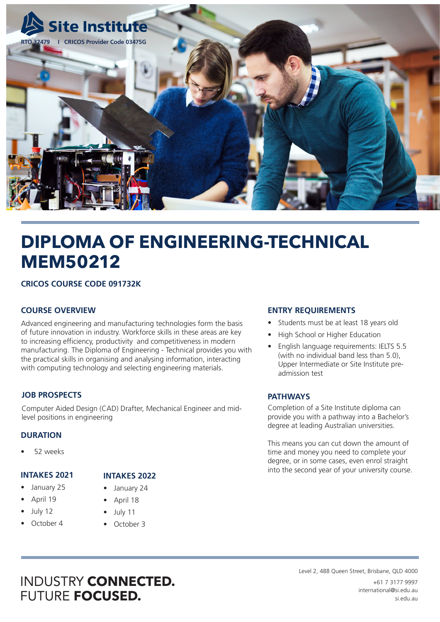

# **DIPLOMA OF ENGINEERING-TECHNICAL MEM50212**

# **CRICOS COURSE CODE 091732K**

# **COURSE OVERVIEW**

Advanced engineering and manufacturing technologies form the basis of future innovation in industry. Workforce skills in these areas are key to increasing efficiency, productivity and competitiveness in modern manufacturing. The Diploma of Engineering - Technical provides you with the practical skills in organising and analysing information, interacting with computing technology and selecting engineering materials.

### **JOB PROSPECTS**

Computer Aided Design (CAD) Drafter, Mechanical Engineer and midlevel positions in engineering

### **DURATION**

• 52 weeks

### **INTAKES 2021**

- January 25
- April 19
- July 12
- October 4

# **INTAKES 2022**

- January 24
- April 18
- July 11
- October 3

## **ENTRY REQUIREMENTS**

- Students must be at least 18 years old
- High School or Higher Education
- English language requirements: IELTS 5.5 (with no individual band less than 5.0), Upper Intermediate or Site Institute preadmission test

### **PATHWAYS**

Completion of a Site Institute diploma can provide you with a pathway into a Bachelor's degree at leading Australian universities.

This means you can cut down the amount of time and money you need to complete your degree, or in some cases, even enrol straight into the second year of your university course.

# INDUSTRY **CONNECTED.** FUTURE **FOCUSED.**

Level 2, 488 Queen Street, Brisbane, QLD 4000 +61 7 3177 9997 international@si.edu.au si.edu.au